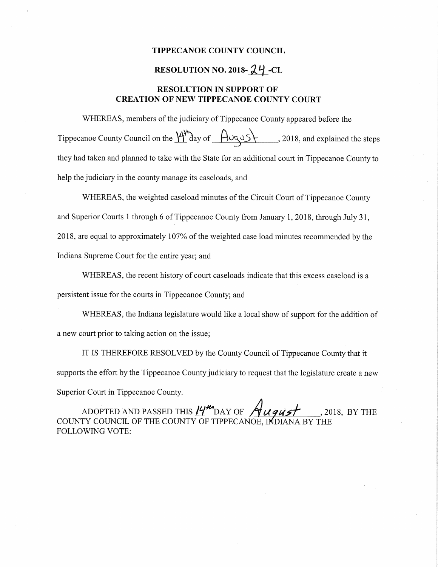## TIPPECANOE COUNTY COUNCIL

## RESOLUTION NO. 2018- $24$ -CL

## RESOLUTION IN SUPPORT OF CREATION OF NEW TIPPECANOE COUNTY COURT

WHEREAS, members of the judiciary of Tippecanoe County appeared before the Tippecanoe County Council on the  $\frac{M''}{d}$  ay of  $\frac{A \cup Q \cup S}{f}$ , 2018, and explained the steps they had taken and planned to take with the State for an additional court in Tippecanoe County to help the judiciary in the county manage its caseloads, and

WHEREAS, the weighted caseload minutes of the Circuit Court of Tippecanoe County and Superior Courts <sup>1</sup> through <sup>6</sup> of Tippecanoe County from January 1, 2018, through July 31, 2018, are equal to approximately 107% of the weighted case load minutes recommended by the Indiana Supreme Court for the entire year; and

WHEREAS, the recent history of court caseloads indicate that this excess caseload is <sup>a</sup> persistent issue for the courts in Tippecanoe County; and l

WHEREAS, the Indiana legislature would like <sup>a</sup> local show of support for the addition of <sup>a</sup> new court prior to taking action on the issue;

IT IS THEREFORE RESOLVED by the County Council of Tippecanoe County that it supports the effort by the Tippecanoe County judiciary to request that the legislature create <sup>a</sup> new Superior Court in Tippecanoe County.

ADOPTED AND PASSED THIS  $19^{\prime\prime}$  DAY OF  $\cancel{\gamma}$   $\mu$   $q\mu$   $\cancel{\gamma}$  , 2018, BY THE COUNTY COUNCIL OE THE COUNTY OF TIPPECANOE, INDIANA BY THE FOLLOWING VOTE: